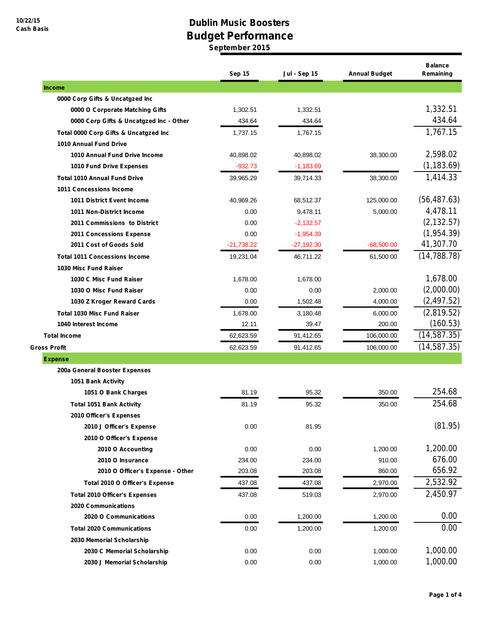## **Dublin Music Boosters Budget Performance**

**September 2015**

|                                         | Sep 15       | <b>Jul - Sep 15</b> | <b>Annual Budget</b> | <b>Balance</b><br>Remaining |
|-----------------------------------------|--------------|---------------------|----------------------|-----------------------------|
| <b>Income</b>                           |              |                     |                      |                             |
| 0000 Corp Gifts & Uncatgzed Inc         |              |                     |                      |                             |
| 0000 O Corporate Matching Gifts         | 1,302.51     | 1,332.51            |                      | 1,332.51                    |
| 0000 Corp Gifts & Uncatgzed Inc - Other | 434.64       | 434.64              |                      | 434.64                      |
| Total 0000 Corp Gifts & Uncatgzed Inc   | 1,737.15     | 1,767.15            |                      | 1,767.15                    |
| <b>1010 Annual Fund Drive</b>           |              |                     |                      |                             |
| 1010 Annual Fund Drive Income           | 40,898.02    | 40,898.02           | 38,300.00            | 2,598.02                    |
| 1010 Fund Drive Expenses                | $-932.73$    | $-1,183.69$         |                      | (1, 183.69)                 |
| <b>Total 1010 Annual Fund Drive</b>     | 39,965.29    | 39,714.33           | 38,300.00            | 1,414.33                    |
| <b>1011 Concessions Income</b>          |              |                     |                      |                             |
| 1011 District Event Income              | 40,969.26    | 68,512.37           | 125,000.00           | (56, 487.63)                |
| 1011 Non-District Income                | 0.00         | 9,478.11            | 5,000.00             | 4,478.11                    |
| 2011 Commissions to District            | 0.00         | $-2,132.57$         |                      | (2, 132.57)                 |
| 2011 Concessions Expense                | 0.00         | $-1,954.39$         |                      | (1,954.39)                  |
| 2011 Cost of Goods Sold                 | $-21,738.22$ | $-27,192.30$        | $-68,500.00$         | 41,307.70                   |
| <b>Total 1011 Concessions Income</b>    | 19,231.04    | 46,711.22           | 61,500.00            | (14, 788.78)                |
| 1030 Misc Fund Raiser                   |              |                     |                      |                             |
| 1030 C Misc Fund Raiser                 | 1,678.00     | 1,678.00            |                      | 1,678.00                    |
| 1030 O Misc Fund Raiser                 | 0.00         | 0.00                | 2,000.00             | (2,000.00)                  |
| 1030 Z Kroger Reward Cards              | 0.00         | 1,502.48            | 4,000.00             | (2, 497.52)                 |
| <b>Total 1030 Misc Fund Raiser</b>      | 1,678.00     | 3,180.48            | 6,000.00             | (2,819.52)                  |
| 1040 Interest Income                    | 12.11        | 39.47               | 200.00               | (160.53)                    |
| <b>Total Income</b>                     | 62,623.59    | 91,412.65           | 106,000.00           | (14, 587.35)                |
| <b>Gross Profit</b>                     | 62,623.59    | 91,412.65           | 106,000.00           | (14, 587.35)                |
| <b>Expense</b>                          |              |                     |                      |                             |
| 200a General Booster Expenses           |              |                     |                      |                             |
| 1051 Bank Activity                      |              |                     |                      |                             |
| 1051 O Bank Charges                     | 81.19        | 95.32               | 350.00               | 254.68                      |
| <b>Total 1051 Bank Activity</b>         | 81.19        | 95.32               | 350.00               | 254.68                      |
| 2010 Officer's Expenses                 |              |                     |                      |                             |
| 2010 J Officer's Expense                | 0.00         | 81.95               |                      | (81.95)                     |
| 2010 O Officer's Expense                |              |                     |                      |                             |
| 2010 O Accounting                       | 0.00         | 0.00                | 1,200.00             | 1,200.00                    |
| 2010 O Insurance                        | 234.00       | 234.00              | 910.00               | 676.00                      |
| 2010 O Officer's Expense - Other        | 203.08       | 203.08              | 860.00               | 656.92                      |
| Total 2010 O Officer's Expense          | 437.08       | 437.08              | 2,970.00             | 2,532.92                    |
| <b>Total 2010 Officer's Expenses</b>    | 437.08       | 519.03              | 2,970.00             | 2,450.97                    |
| <b>2020 Communications</b>              |              |                     |                      |                             |
| 2020 O Communications                   | 0.00         | 1,200.00            | 1,200.00             | 0.00                        |
| <b>Total 2020 Communications</b>        | 0.00         | 1,200.00            | 1,200.00             | 0.00                        |
| 2030 Memorial Scholarship               |              |                     |                      |                             |
| 2030 C Memorial Scholarship             | 0.00         | 0.00                | 1,000.00             | 1,000.00                    |
| 2030 J Memorial Scholarship             | 0.00         | 0.00                | 1,000.00             | 1,000.00                    |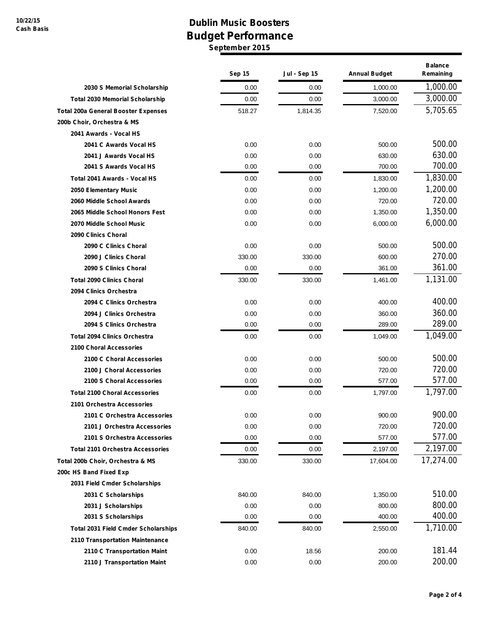## **Dublin Music Boosters Budget Performance September 2015**

|                                            | Sep 15 | <b>Jul - Sep 15</b> | <b>Annual Budget</b> | <b>Balance</b><br>Remaining |
|--------------------------------------------|--------|---------------------|----------------------|-----------------------------|
| 2030 S Memorial Scholarship                | 0.00   | 0.00                | 1,000.00             | 1,000.00                    |
| <b>Total 2030 Memorial Scholarship</b>     | 0.00   | 0.00                | 3,000.00             | 3,000.00                    |
| <b>Total 200a General Booster Expenses</b> | 518.27 | 1,814.35            | 7,520.00             | 5,705.65                    |
| 200b Choir, Orchestra & MS                 |        |                     |                      |                             |
| 2041 Awards - Vocal HS                     |        |                     |                      |                             |
| 2041 C Awards Vocal HS                     | 0.00   | 0.00                | 500.00               | 500.00                      |
| 2041 J Awards Vocal HS                     | 0.00   | 0.00                | 630.00               | 630.00                      |
| 2041 S Awards Vocal HS                     | 0.00   | 0.00                | 700.00               | 700.00                      |
| Total 2041 Awards - Vocal HS               | 0.00   | 0.00                | 1,830.00             | 1,830.00                    |
| 2050 Elementary Music                      | 0.00   | 0.00                | 1,200.00             | 1,200.00                    |
| 2060 Middle School Awards                  | 0.00   | 0.00                | 720.00               | 720.00                      |
| 2065 Middle School Honors Fest             | 0.00   | 0.00                | 1,350.00             | 1,350.00                    |
| 2070 Middle School Music                   | 0.00   | 0.00                | 6,000.00             | 6,000.00                    |
| 2090 Clinics Choral                        |        |                     |                      |                             |
| 2090 C Clinics Choral                      | 0.00   | 0.00                | 500.00               | 500.00                      |
| 2090 J Clinics Choral                      | 330.00 | 330.00              | 600.00               | 270.00                      |
| 2090 S Clinics Choral                      | 0.00   | 0.00                | 361.00               | 361.00                      |
| <b>Total 2090 Clinics Choral</b>           | 330.00 | 330.00              | 1,461.00             | 1,131.00                    |
| 2094 Clinics Orchestra                     |        |                     |                      |                             |
| 2094 C Clinics Orchestra                   | 0.00   | 0.00                | 400.00               | 400.00                      |
| 2094 J Clinics Orchestra                   | 0.00   | 0.00                | 360.00               | 360.00                      |
| 2094 S Clinics Orchestra                   | 0.00   | 0.00                | 289.00               | 289.00                      |
| <b>Total 2094 Clinics Orchestra</b>        | 0.00   | 0.00                | 1,049.00             | 1,049.00                    |
| 2100 Choral Accessories                    |        |                     |                      |                             |
| 2100 C Choral Accessories                  | 0.00   | 0.00                | 500.00               | 500.00                      |
| 2100 J Choral Accessories                  | 0.00   | 0.00                | 720.00               | 720.00                      |
| 2100 S Choral Accessories                  | 0.00   | 0.00                | 577.00               | 577.00                      |
| <b>Total 2100 Choral Accessories</b>       | 0.00   | 0.00                | 1,797.00             | 1,797.00                    |
| 2101 Orchestra Accessories                 |        |                     |                      |                             |
| 2101 C Orchestra Accessories               | 0.00   | 0.00                | 900.00               | 900.00                      |
| 2101 J Orchestra Accessories               | 0.00   | 0.00                | 720.00               | 720.00                      |
| 2101 S Orchestra Accessories               | 0.00   | 0.00                | 577.00               | 577.00                      |
| <b>Total 2101 Orchestra Accessories</b>    | 0.00   | 0.00                | 2,197.00             | 2,197.00                    |
| Total 200b Choir, Orchestra & MS           | 330.00 | 330.00              | 17,604.00            | 17,274.00                   |
| 200c HS Band Fixed Exp                     |        |                     |                      |                             |
| 2031 Field Cmder Scholarships              |        |                     |                      |                             |
| 2031 C Scholarships                        | 840.00 | 840.00              | 1,350.00             | 510.00                      |
| 2031 J Scholarships                        | 0.00   | 0.00                | 800.00               | 800.00                      |
| 2031 S Scholarships                        | 0.00   | 0.00                | 400.00               | 400.00                      |
| <b>Total 2031 Field Cmder Scholarships</b> | 840.00 | 840.00              | 2,550.00             | 1,710.00                    |
| 2110 Transportation Maintenance            |        |                     |                      |                             |
| 2110 C Transportation Maint                | 0.00   | 18.56               | 200.00               | 181.44                      |
| 2110 J Transportation Maint                | 0.00   | 0.00                | 200.00               | 200.00                      |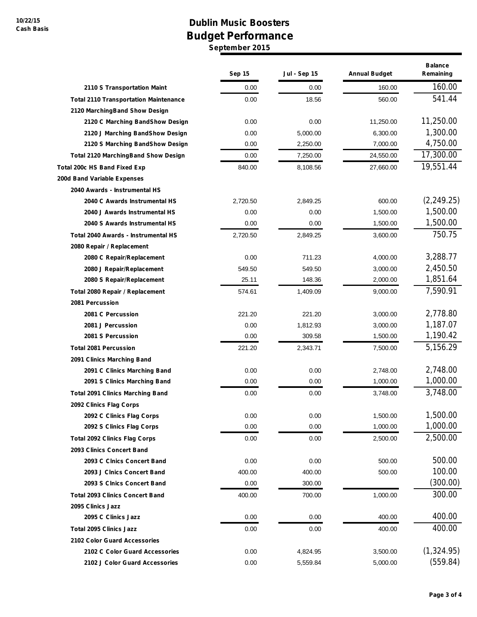## **Dublin Music Boosters Budget Performance September 2015**

|                                              | <b>Sep 15</b> | <b>Jul - Sep 15</b> | <b>Annual Budget</b> | <b>Balance</b><br>Remaining |
|----------------------------------------------|---------------|---------------------|----------------------|-----------------------------|
| 2110 S Transportation Maint                  | 0.00          | 0.00                | 160.00               | 160.00                      |
| <b>Total 2110 Transportation Maintenance</b> | 0.00          | 18.56               | 560.00               | 541.44                      |
| 2120 MarchingBand Show Design                |               |                     |                      |                             |
| 2120 C Marching BandShow Design              | 0.00          | 0.00                | 11,250.00            | 11,250.00                   |
| 2120 J Marching BandShow Design              | 0.00          | 5,000.00            | 6,300.00             | 1,300.00                    |
| 2120 S Marching BandShow Design              | 0.00          | 2,250.00            | 7,000.00             | 4,750.00                    |
| <b>Total 2120 MarchingBand Show Design</b>   | 0.00          | 7,250.00            | 24,550.00            | 17,300.00                   |
| <b>Total 200c HS Band Fixed Exp</b>          | 840.00        | 8,108.56            | 27,660.00            | 19,551.44                   |
| 200d Band Variable Expenses                  |               |                     |                      |                             |
| 2040 Awards - Instrumental HS                |               |                     |                      |                             |
| 2040 C Awards Instrumental HS                | 2,720.50      | 2,849.25            | 600.00               | (2, 249.25)                 |
| 2040 J Awards Instrumental HS                | 0.00          | 0.00                | 1,500.00             | 1,500.00                    |
| 2040 S Awards Instrumental HS                | 0.00          | 0.00                | 1,500.00             | 1,500.00                    |
| Total 2040 Awards - Instrumental HS          | 2,720.50      | 2,849.25            | 3,600.00             | 750.75                      |
| 2080 Repair / Replacement                    |               |                     |                      |                             |
| 2080 C Repair/Replacement                    | 0.00          | 711.23              | 4,000.00             | 3,288.77                    |
| 2080 J Repair/Replacement                    | 549.50        | 549.50              | 3,000.00             | 2,450.50                    |
| 2080 S Repair/Replacement                    | 25.11         | 148.36              | 2,000.00             | 1,851.64                    |
| Total 2080 Repair / Replacement              | 574.61        | 1,409.09            | 9,000.00             | 7,590.91                    |
| 2081 Percussion                              |               |                     |                      |                             |
| 2081 C Percussion                            | 221.20        | 221.20              | 3,000.00             | 2,778.80                    |
| 2081 J Percussion                            | 0.00          | 1,812.93            | 3,000.00             | 1,187.07                    |
| 2081 S Percussion                            | 0.00          | 309.58              | 1,500.00             | 1,190.42                    |
| <b>Total 2081 Percussion</b>                 | 221.20        | 2,343.71            | 7,500.00             | 5,156.29                    |
| 2091 Clinics Marching Band                   |               |                     |                      |                             |
| 2091 C Clinics Marching Band                 | 0.00          | 0.00                | 2,748.00             | 2,748.00                    |
| 2091 S Clinics Marching Band                 | 0.00          | 0.00                | 1,000.00             | 1,000.00                    |
| <b>Total 2091 Clinics Marching Band</b>      | 0.00          | 0.00                | 3,748.00             | 3,748.00                    |
| 2092 Clinics Flag Corps                      |               |                     |                      |                             |
| 2092 C Clinics Flag Corps                    | 0.00          | 0.00                | 1,500.00             | 1,500.00                    |
| 2092 S Clinics Flag Corps                    | 0.00          | 0.00                | 1,000.00             | 1,000.00                    |
| <b>Total 2092 Clinics Flag Corps</b>         | 0.00          | 0.00                | 2,500.00             | 2,500.00                    |
| 2093 Clinics Concert Band                    |               |                     |                      |                             |
| 2093 C Clnics Concert Band                   | 0.00          | 0.00                | 500.00               | 500.00                      |
| 2093 J Clnics Concert Band                   | 400.00        | 400.00              | 500.00               | 100.00                      |
| 2093 S Cinics Concert Band                   | 0.00          | 300.00              |                      | (300.00)                    |
| <b>Total 2093 Clinics Concert Band</b>       | 400.00        | 700.00              | 1,000.00             | 300.00                      |
| 2095 Clinics Jazz                            |               |                     |                      |                             |
| 2095 C Clinics Jazz                          | 0.00          | 0.00                | 400.00               | 400.00                      |
| <b>Total 2095 Clinics Jazz</b>               | 0.00          | 0.00                | 400.00               | 400.00                      |
| 2102 Color Guard Accessories                 |               |                     |                      |                             |
| 2102 C Color Guard Accessories               | 0.00          | 4,824.95            | 3,500.00             | (1,324.95)                  |
| 2102 J Color Guard Accessories               | 0.00          | 5,559.84            | 5,000.00             | (559.84)                    |